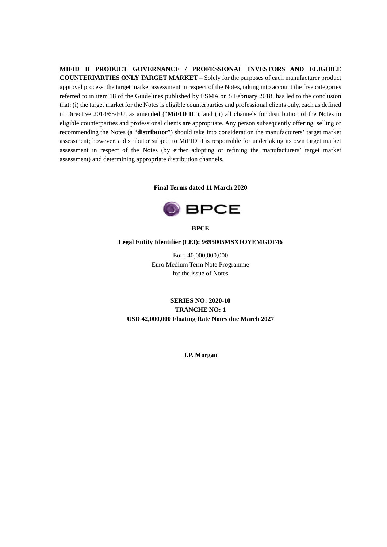**MIFID II PRODUCT GOVERNANCE / PROFESSIONAL INVESTORS AND ELIGIBLE COUNTERPARTIES ONLY TARGET MARKET** – Solely for the purposes of each manufacturer product approval process, the target market assessment in respect of the Notes, taking into account the five categories referred to in item 18 of the Guidelines published by ESMA on 5 February 2018, has led to the conclusion that: (i) the target market for the Notes is eligible counterparties and professional clients only, each as defined in Directive 2014/65/EU, as amended ("**MiFID II**"); and (ii) all channels for distribution of the Notes to eligible counterparties and professional clients are appropriate. Any person subsequently offering, selling or recommending the Notes (a "**distributor**") should take into consideration the manufacturers' target market assessment; however, a distributor subject to MiFID II is responsible for undertaking its own target market assessment in respect of the Notes (by either adopting or refining the manufacturers' target market assessment) and determining appropriate distribution channels.

#### **Final Terms dated 11 March 2020**



**BPCE**

#### **Legal Entity Identifier (LEI): 9695005MSX1OYEMGDF46**

Euro 40,000,000,000 Euro Medium Term Note Programme for the issue of Notes

**SERIES NO: 2020-10 TRANCHE NO: 1 USD 42,000,000 Floating Rate Notes due March 2027**

**J.P. Morgan**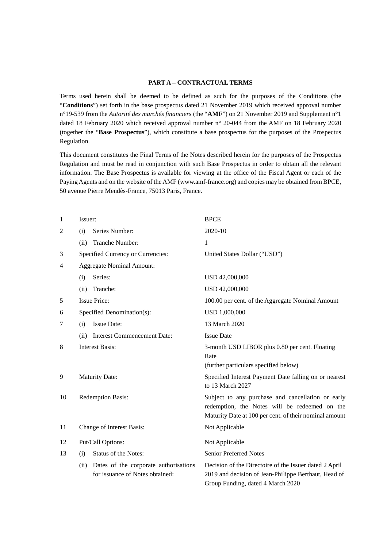#### **PART A – CONTRACTUAL TERMS**

Terms used herein shall be deemed to be defined as such for the purposes of the Conditions (the "**Conditions**") set forth in the base prospectus dated 21 November 2019 which received approval number n°19-539 from the *Autorité des marchés financiers* (the "**AMF**") on 21 November 2019 and Supplement n°1 dated 18 February 2020 which received approval number n° 20-044 from the AMF on 18 February 2020 (together the "**Base Prospectus**"), which constitute a base prospectus for the purposes of the Prospectus Regulation.

This document constitutes the Final Terms of the Notes described herein for the purposes of the Prospectus Regulation and must be read in conjunction with such Base Prospectus in order to obtain all the relevant information. The Base Prospectus is available for viewing at the office of the Fiscal Agent or each of the Paying Agents and on the website of the AMF (www.amf-france.org) and copies may be obtained from BPCE, 50 avenue Pierre Mendès-France, 75013 Paris, France.

| 1              | Issuer:                                                                          | <b>BPCE</b>                                                                                                                                                  |
|----------------|----------------------------------------------------------------------------------|--------------------------------------------------------------------------------------------------------------------------------------------------------------|
| $\overline{c}$ | Series Number:<br>(i)                                                            | 2020-10                                                                                                                                                      |
|                | Tranche Number:<br>(ii)                                                          | 1                                                                                                                                                            |
| 3              | Specified Currency or Currencies:                                                | United States Dollar ("USD")                                                                                                                                 |
| 4              | <b>Aggregate Nominal Amount:</b>                                                 |                                                                                                                                                              |
|                | Series:<br>(i)                                                                   | USD 42,000,000                                                                                                                                               |
|                | Tranche:<br>(ii)                                                                 | USD 42,000,000                                                                                                                                               |
| 5              | <b>Issue Price:</b>                                                              | 100.00 per cent. of the Aggregate Nominal Amount                                                                                                             |
| 6              | Specified Denomination(s):                                                       | USD 1,000,000                                                                                                                                                |
| 7              | <b>Issue Date:</b><br>(i)                                                        | 13 March 2020                                                                                                                                                |
|                | <b>Interest Commencement Date:</b><br>(ii)                                       | <b>Issue Date</b>                                                                                                                                            |
| 8              | <b>Interest Basis:</b>                                                           | 3-month USD LIBOR plus 0.80 per cent. Floating<br>Rate<br>(further particulars specified below)                                                              |
| 9              | <b>Maturity Date:</b>                                                            | Specified Interest Payment Date falling on or nearest<br>to 13 March 2027                                                                                    |
| 10             | <b>Redemption Basis:</b>                                                         | Subject to any purchase and cancellation or early<br>redemption, the Notes will be redeemed on the<br>Maturity Date at 100 per cent. of their nominal amount |
| 11             | Change of Interest Basis:                                                        | Not Applicable                                                                                                                                               |
| 12             | Put/Call Options:                                                                | Not Applicable                                                                                                                                               |
| 13             | <b>Status of the Notes:</b><br>(i)                                               | <b>Senior Preferred Notes</b>                                                                                                                                |
|                | Dates of the corporate authorisations<br>(ii)<br>for issuance of Notes obtained: | Decision of the Directoire of the Issuer dated 2 April<br>2019 and decision of Jean-Philippe Berthaut, Head of<br>Group Funding, dated 4 March 2020          |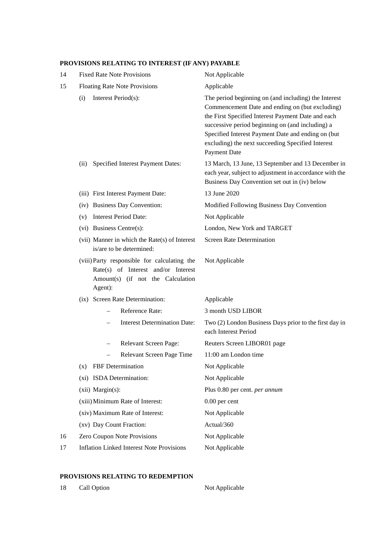# **PROVISIONS RELATING TO INTEREST (IF ANY) PAYABLE**

| 14 | <b>Fixed Rate Note Provisions</b>                                                                                                   | Not Applicable                                                                                                                                                                                                                                                                                                                               |
|----|-------------------------------------------------------------------------------------------------------------------------------------|----------------------------------------------------------------------------------------------------------------------------------------------------------------------------------------------------------------------------------------------------------------------------------------------------------------------------------------------|
| 15 | <b>Floating Rate Note Provisions</b>                                                                                                | Applicable                                                                                                                                                                                                                                                                                                                                   |
|    | Interest Period(s):<br>(i)                                                                                                          | The period beginning on (and including) the Interest<br>Commencement Date and ending on (but excluding)<br>the First Specified Interest Payment Date and each<br>successive period beginning on (and including) a<br>Specified Interest Payment Date and ending on (but<br>excluding) the next succeeding Specified Interest<br>Payment Date |
|    | Specified Interest Payment Dates:<br>(ii)                                                                                           | 13 March, 13 June, 13 September and 13 December in<br>each year, subject to adjustment in accordance with the<br>Business Day Convention set out in (iv) below                                                                                                                                                                               |
|    | (iii) First Interest Payment Date:                                                                                                  | 13 June 2020                                                                                                                                                                                                                                                                                                                                 |
|    | (iv) Business Day Convention:                                                                                                       | Modified Following Business Day Convention                                                                                                                                                                                                                                                                                                   |
|    | <b>Interest Period Date:</b><br>(v)                                                                                                 | Not Applicable                                                                                                                                                                                                                                                                                                                               |
|    | (vi) Business Centre(s):                                                                                                            | London, New York and TARGET                                                                                                                                                                                                                                                                                                                  |
|    | (vii) Manner in which the Rate(s) of Interest<br>is/are to be determined:                                                           | <b>Screen Rate Determination</b>                                                                                                                                                                                                                                                                                                             |
|    | (viii) Party responsible for calculating the<br>Rate(s) of Interest and/or Interest<br>Amount(s) (if not the Calculation<br>Agent): | Not Applicable                                                                                                                                                                                                                                                                                                                               |
|    | (ix) Screen Rate Determination:                                                                                                     | Applicable                                                                                                                                                                                                                                                                                                                                   |
|    | Reference Rate:                                                                                                                     | 3 month USD LIBOR                                                                                                                                                                                                                                                                                                                            |
|    | <b>Interest Determination Date:</b>                                                                                                 | Two (2) London Business Days prior to the first day in<br>each Interest Period                                                                                                                                                                                                                                                               |
|    | Relevant Screen Page:<br>$\overline{\phantom{0}}$                                                                                   | Reuters Screen LIBOR01 page                                                                                                                                                                                                                                                                                                                  |
|    | Relevant Screen Page Time<br>$\overline{\phantom{0}}$                                                                               | 11:00 am London time                                                                                                                                                                                                                                                                                                                         |
|    | FBF Determination<br>(x)                                                                                                            | Not Applicable                                                                                                                                                                                                                                                                                                                               |
|    | (xi) ISDA Determination:                                                                                                            | Not Applicable                                                                                                                                                                                                                                                                                                                               |
|    | (xii) Margin(s):                                                                                                                    | Plus 0.80 per cent. per annum                                                                                                                                                                                                                                                                                                                |
|    | (xiii) Minimum Rate of Interest:                                                                                                    | 0.00 per cent                                                                                                                                                                                                                                                                                                                                |
|    | (xiv) Maximum Rate of Interest:                                                                                                     | Not Applicable                                                                                                                                                                                                                                                                                                                               |
|    | (xv) Day Count Fraction:                                                                                                            | Actual/360                                                                                                                                                                                                                                                                                                                                   |
| 16 | Zero Coupon Note Provisions                                                                                                         | Not Applicable                                                                                                                                                                                                                                                                                                                               |
| 17 | <b>Inflation Linked Interest Note Provisions</b>                                                                                    | Not Applicable                                                                                                                                                                                                                                                                                                                               |

# **PROVISIONS RELATING TO REDEMPTION**

18 Call Option Not Applicable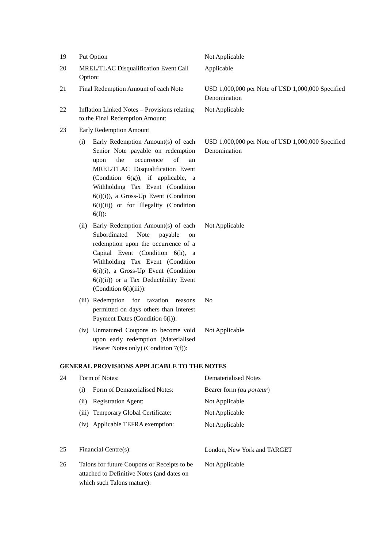| 19 |                                                  | Put Option                                                                                                                                                                                                                                                                                                                      | Not Applicable                                                    |
|----|--------------------------------------------------|---------------------------------------------------------------------------------------------------------------------------------------------------------------------------------------------------------------------------------------------------------------------------------------------------------------------------------|-------------------------------------------------------------------|
| 20 | MREL/TLAC Disqualification Event Call<br>Option: |                                                                                                                                                                                                                                                                                                                                 | Applicable                                                        |
| 21 |                                                  | Final Redemption Amount of each Note                                                                                                                                                                                                                                                                                            | USD 1,000,000 per Note of USD 1,000,000 Specified<br>Denomination |
| 22 |                                                  | <b>Inflation Linked Notes - Provisions relating</b><br>to the Final Redemption Amount:                                                                                                                                                                                                                                          | Not Applicable                                                    |
| 23 |                                                  | Early Redemption Amount                                                                                                                                                                                                                                                                                                         |                                                                   |
|    | (i)                                              | Early Redemption Amount(s) of each<br>Senior Note payable on redemption<br>of<br>the<br>occurrence<br>upon<br>an<br>MREL/TLAC Disqualification Event<br>(Condition 6(g)), if applicable, a<br>Withholding Tax Event (Condition<br>$6(i)(i)$ , a Gross-Up Event (Condition<br>6(i)(ii)) or for Illegality (Condition<br>$6(1)$ : | USD 1,000,000 per Note of USD 1,000,000 Specified<br>Denomination |
|    | (ii)                                             | Early Redemption Amount(s) of each<br>Subordinated<br>Note<br>payable<br>on<br>redemption upon the occurrence of a<br>Capital Event (Condition 6(h), a<br>Withholding Tax Event (Condition<br>6(i)(i), a Gross-Up Event (Condition<br>$6(i)(ii)$ or a Tax Deductibility Event<br>(Condition $6(i)(iii)$ ):                      | Not Applicable                                                    |
|    |                                                  | (iii) Redemption for taxation<br>reasons<br>permitted on days others than Interest<br>Payment Dates (Condition 6(i)):                                                                                                                                                                                                           | No                                                                |
|    |                                                  | (iv) Unmatured Coupons to become void<br>upon early redemption (Materialised<br>Bearer Notes only) (Condition 7(f)):                                                                                                                                                                                                            | Not Applicable                                                    |
|    |                                                  | <b>GENERAL PROVISIONS APPLICABLE TO THE NOTES</b>                                                                                                                                                                                                                                                                               |                                                                   |
| 24 | Form of Notes:                                   |                                                                                                                                                                                                                                                                                                                                 | <b>Dematerialised Notes</b>                                       |
|    | (i)                                              | Form of Dematerialised Notes:                                                                                                                                                                                                                                                                                                   | Bearer form (au porteur)                                          |
|    | (ii)                                             | <b>Registration Agent:</b>                                                                                                                                                                                                                                                                                                      | Not Applicable                                                    |
|    | (iii)                                            | Temporary Global Certificate:                                                                                                                                                                                                                                                                                                   | Not Applicable                                                    |
|    | (iv)                                             | Applicable TEFRA exemption:                                                                                                                                                                                                                                                                                                     | Not Applicable                                                    |
| 25 | Financial Centre(s):                             |                                                                                                                                                                                                                                                                                                                                 | London, New York and TARGET                                       |
| 26 |                                                  | Talons for future Coupons or Receipts to be<br>attached to Definitive Notes (and dates on<br>which such Talons mature):                                                                                                                                                                                                         | Not Applicable                                                    |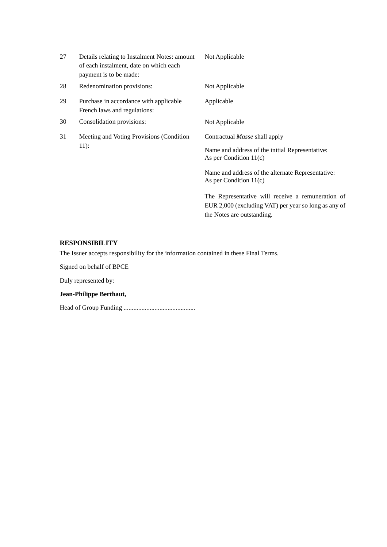| 27 | Details relating to Instalment Notes: amount<br>of each instalment, date on which each<br>payment is to be made: | Not Applicable                                                                                            |
|----|------------------------------------------------------------------------------------------------------------------|-----------------------------------------------------------------------------------------------------------|
| 28 | Redenomination provisions:                                                                                       | Not Applicable                                                                                            |
| 29 | Purchase in accordance with applicable<br>French laws and regulations:                                           | Applicable                                                                                                |
| 30 | Consolidation provisions:                                                                                        | Not Applicable                                                                                            |
| 31 | Meeting and Voting Provisions (Condition<br>$11)$ :                                                              | Contractual <i>Masse</i> shall apply                                                                      |
|    |                                                                                                                  | Name and address of the initial Representative:<br>As per Condition $11(c)$                               |
|    |                                                                                                                  | Name and address of the alternate Representative:<br>As per Condition $11(c)$                             |
|    |                                                                                                                  | The Representative will receive a remuneration of<br>EUR 2,000 (excluding VAT) per year so long as any of |

the Notes are outstanding.

## **RESPONSIBILITY**

The Issuer accepts responsibility for the information contained in these Final Terms.

Signed on behalf of BPCE

Duly represented by:

### **Jean-Philippe Berthaut,**

Head of Group Funding ............................................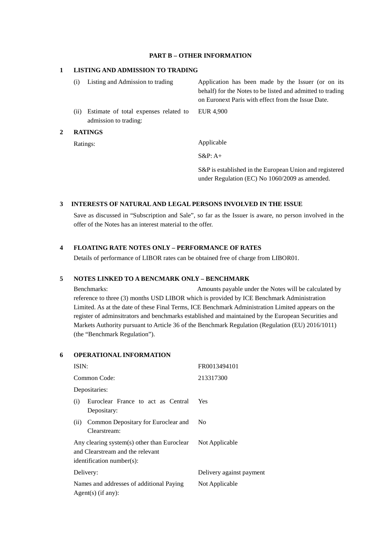## **PART B – OTHER INFORMATION**

## **1 LISTING AND ADMISSION TO TRADING**

|   | (i)            | Listing and Admission to trading                               | Application has been made by the Issuer (or on its<br>behalf) for the Notes to be listed and admitted to trading<br>on Euronext Paris with effect from the Issue Date. |
|---|----------------|----------------------------------------------------------------|------------------------------------------------------------------------------------------------------------------------------------------------------------------------|
|   | (i)            | Estimate of total expenses related to<br>admission to trading: | EUR 4.900                                                                                                                                                              |
| 2 | <b>RATINGS</b> |                                                                |                                                                                                                                                                        |
|   |                | Ratings:                                                       | Applicable                                                                                                                                                             |
|   |                |                                                                | $S\&P: A+$                                                                                                                                                             |

S&P is established in the European Union and registered under Regulation (EC) No 1060/2009 as amended.

#### **3 INTERESTS OF NATURAL AND LEGAL PERSONS INVOLVED IN THE ISSUE**

Save as discussed in "Subscription and Sale", so far as the Issuer is aware, no person involved in the offer of the Notes has an interest material to the offer.

## **4 FLOATING RATE NOTES ONLY – PERFORMANCE OF RATES**

Details of performance of LIBOR rates can be obtained free of charge from LIBOR01.

#### **5 NOTES LINKED TO A BENCMARK ONLY – BENCHMARK**

Benchmarks: Amounts payable under the Notes will be calculated by reference to three (3) months USD LIBOR which is provided by ICE Benchmark Administration Limited. As at the date of these Final Terms, ICE Benchmark Administration Limited appears on the register of adminsitrators and benchmarks established and maintained by the European Securities and Markets Authority pursuant to Article 36 of the Benchmark Regulation (Regulation (EU) 2016/1011) (the "Benchmark Regulation").

### **6 OPERATIONAL INFORMATION**

| ISIN:                                                                                                        | FR0013494101             |
|--------------------------------------------------------------------------------------------------------------|--------------------------|
| Common Code:                                                                                                 | 213317300                |
| Depositaries:                                                                                                |                          |
| Euroclear France to act as Central<br>(i)<br>Depositary:                                                     | Yes                      |
| Common Depositary for Euroclear and<br>(ii)<br>Clearstream:                                                  | No.                      |
| Any clearing system(s) other than Euroclear<br>and Clearstream and the relevant<br>identification number(s): | Not Applicable           |
| Delivery:                                                                                                    | Delivery against payment |
| Names and addresses of additional Paying<br>$Agent(s)$ (if any):                                             | Not Applicable           |